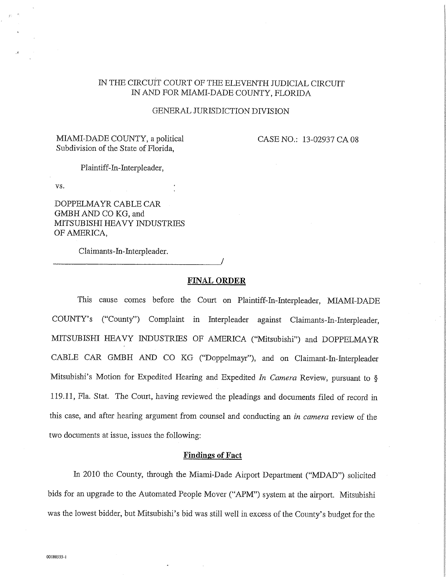# IN THE CIRCUIT COURT OF THE ELEVENTH JUDICIAL CIRCUIT IRCUIT COURT OF THE ELEVENTH JUDICIAL<br>IN AND FOR MIAMI-DADE COUNTY, FLORIDA

### GENERAL JURISDICTION DIVISION

## MIAMI-DADE COUNTY, a political CASE NO.: 13-02937 CA 08 Subdivision of the State of Florida,

Plaintiff-In-Interpleader,

vs.

DOPPELMAYR CABLE CAR .<br>DOPPELMAYR CABLE<br>GMBH AND CO KG, and GMBH AND CO KG, and<br>MITSUBISHI HEAVY INDUSTRIES OF AMERICA,

Claimants-In-Interpleader.

### FINAL ORDER

/

This cause comes before the Court on Plaintiff-In-Interpleader, MIAMI-DADE COUNTY'S ("County") Complaint in Interpleader against Claimants-In-Interpleader, MITSUBISHI HEAVY INDUSTRIES OF AMERICA ("Mitsubishi") and DOPPELMAYR CABLE CAR GMBH AND CO KG ("Doppelmayr"), and on Claimant-In-Interpleader Mitsubishi's Motion for Expedited Hearing and Expedited In Camera Review, pursuant to  $\S$ 119.11, Fla. Stat. The Court, having reviewed the pleadings and documents filed of record in this case, and after hearing argument from counsel and conducting an in camera review of the two documents at issue, issues the following:

### Findings of Fact

In <sup>2010</sup> the County, through the Miami-Dade Airport Department ("MDAD") solicited bids for an upgrade to the Automated People Mover ("APM") system at the airport, Mitsubishi was the lowest bidder, but Mitsubishi's bid was still well in excess of the County's budget for the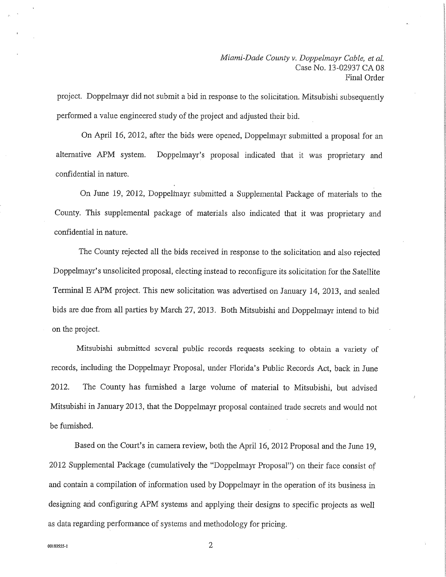project. Doppelmayr did not submit a bid in response to the solicitation. Mitsubishi subsequently performed a value engineered study of the project and adjusted their bid.

On April 16, 2012, after the bids were opened, Doppelmayr submitted a proposal for an alternative APM system. Doppelmayr's proposal indicated that it was proprietary and confidential in nature.

On June 19, 2012, Doppelhiayr submitted a Supplemental Package of materials to the County. This supplemental package of materials also indicated that it was proprietary and confidential in nature.

The County rejected all the bids received in response to the solicitation and also rejected Doppelmayr's unsolicited proposal, electing instead to reconfigure its solicitation for the Satellite Terminal <sup>E</sup> APM project. This new solicitation was advertised on January 14, 2013, and sealed bids are due from all parties by March 27, 2013. Both Mitsubishi and Doppelmayr intend to bid on the project.

Mitsubishi submitted several public records requests seeking to obtain a variety of records, including the Doppelmayr Proposal, under Florida's Public Records Act, back in June 2012. The County has furnished a large volume of material to Mitsubishi, but advised Mitsubishi in January 2013, that the Doppelmayr proposal contained trade secrets and would not be furnished.

Based on the Court's in camera review, both the April 16, <sup>2012</sup> Proposal and the June 19, <sup>2012</sup> Supplemental Package (cumulatively the "Doppelmayr Proposal") on their face consist of and contain a compilation of information used by Doppelmayr in the operation of its business in designing and configuring APM systems and applying their designs to specific projects as well as data regarding performance of systems and methodology for pricing.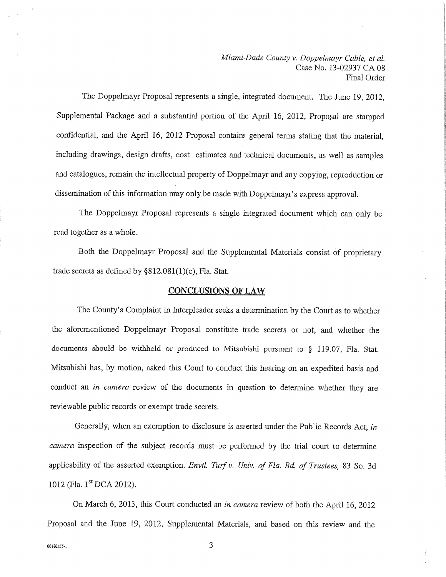Miami-Dade County v. Doppelmayr Cable, et al. . *Doppelmayr Cable, et al.*<br>Case No. 13-02937 CA 08 Final Order

The Doppelmayr Proposal represents a single, integrated document. The June 19, 2012, Supplemental Package and <sup>a</sup> substantial portion of the April 16, 2012, Proposal are stamped confidential, and the April 16, <sup>2012</sup> Proposal contains general terms stating that the material, including drawings, design drafts, cost estimates and technical documents, as well as samples and catalogues, remain the intellectual property of Doppelmayr and any copying, reproduction or dissemination of this information may only be made with Doppelmayr' s express approval.

The Doppelmayr Proposal represents <sup>a</sup> single integrated document which can only be read together as a whole.

Both the Doppelmayr Proposal and the Supplemental Materials consist of proprietary trade secrets as defined by  $\S812.081(1)$ (c), Fla. Stat.

#### CONCLUSIONS OF LAW

The County's Complaint in Interpleader seeks a determination by the Court as to whether the aforementioned Doppelmayr Proposal constitute trade secrets or not, and whether the documents should be withheld or produced to Mitsubishi pursuant to § 119.07, Fla. Stat. Mitsubishi has, by motion, asked this Court to conduct this hearing on an expedited basis and conduct an in camera review of the documents in question to determine whether they are reviewable public records or exempt trade secrets.

Generally, when an exemption to disclosure is asserted under the Public Records Act, in camera inspection of the subject records must be performed by the trial court to determine applicability of the asserted exemption. Envtl. Turf v. Univ. of Fla. Bd. of Trustees, 83 So. 3d 1012 (Fla. 1<sup>st</sup> DCA 2012).

On March 6, 2013, this Court conducted an in camera review of both the April 16, <sup>2012</sup> Proposal and the June 19, 2012, Supplemental Materials, and based on this review and the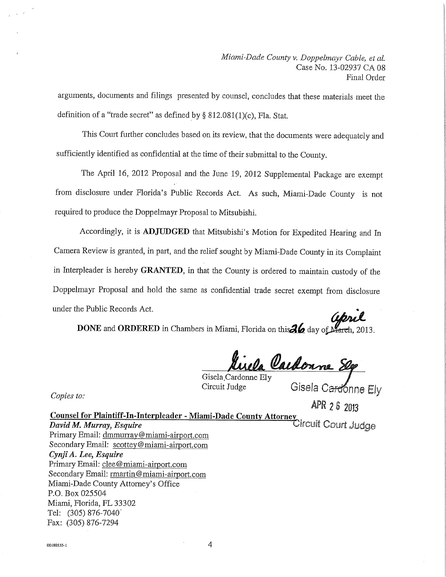arguments, documents and filings presented by counsel, concludes that these materials meet the definition of a "trade secret" as defined by  $\S 812.081(1)(c)$ , Fla. Stat.

This Court further concludes based on its review, that the documents were adequately and sufficiently identified as confidential at the time of their submittal to the County.

The April 16, <sup>2012</sup> Proposal and the June 19, <sup>2012</sup> Supplemental Package are exempt from disclosure under Florida's Public Records Act. As such, Miami-Dade County is not required to produce the Doppelmayr Proposal to Mitsubishi.

Accordingly, it is ADJUDGED that Mitsubishi's Motion for Expedited Hearing and In Camera Review is granted, in part, and the relief sought by Miami-Dade County in its Complaint in Interpleader is hereby GRANTED, in that the County is ordered to maintain custody of the Doppelmayr Proposal and hold the same as confidential trade secret exempt from disclosure under the Public Records Act. dimt e Public Records Act.<br>DONE and ORDERED in Chambers in Miami, Florida on this 26 day of March, 2013.

<u>ttirela Caedonne St</u>

Gisela Cardonne Ely Gisela Cardonne Ely<br>Circuit Judge Gisela Cardonne Ely

Copies to:

la Ca<del>rdo</del>nr<br>APR 2.6 2019

APR 2 & 2013<br>Counsel for Plaintiff-In-Interpleader - Miami-Dade County Attorney<br>Dircuilt Court Judge <mark>Counsel for Plaintiff-In-Interpleader - Miam</mark><br>*David M. Murray, Esquire*<br>Primary Email: <u>dmmurray@miami-airport.com</u> Primary Email: dmmurray@miami-airport.com<br>Secondary Email: scottey@miami-airport.com Cynji A. Lee, Esquire Primary Email: clee@miami-airport.com Secondary Email: rmartin@miami-airport.com Miami-Dade County Attorney's Office P.O. Box 025504 Miami, Florida, FL 33302 Tel: (305) 876-7040' Fax: (305) 876-7294

00180555-1

4